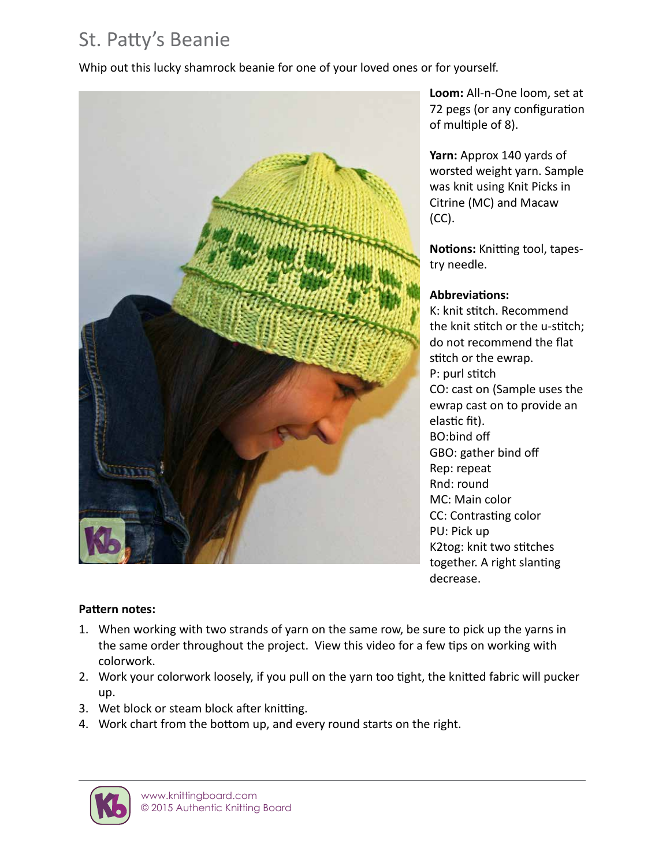# St. Patty's Beanie

Whip out this lucky shamrock beanie for one of your loved ones or for yourself.



**Loom:** All-n-One loom, set at 72 pegs (or any configuration of multiple of 8).

**Yarn:** Approx 140 yards of worsted weight yarn. Sample was knit using Knit Picks in Citrine (MC) and Macaw (CC).

**Notions:** Knitting tool, tapestry needle.

### **Abbreviations:**

K: knit stitch. Recommend the knit stitch or the u-stitch; do not recommend the flat stitch or the ewrap. P: purl stitch CO: cast on (Sample uses the ewrap cast on to provide an elastic fit). BO:bind off GBO: gather bind off Rep: repeat Rnd: round MC: Main color CC: Contrasting color PU: Pick up K2tog: knit two stitches together. A right slanting decrease.

#### **Pattern notes:**

- 1. When working with two strands of yarn on the same row, be sure to pick up the yarns in the same order throughout the project. View this video for a few tips on working with colorwork.
- 2. Work your colorwork loosely, if you pull on the yarn too tight, the knitted fabric will pucker up.
- 3. Wet block or steam block after knitting.
- 4. Work chart from the bottom up, and every round starts on the right.